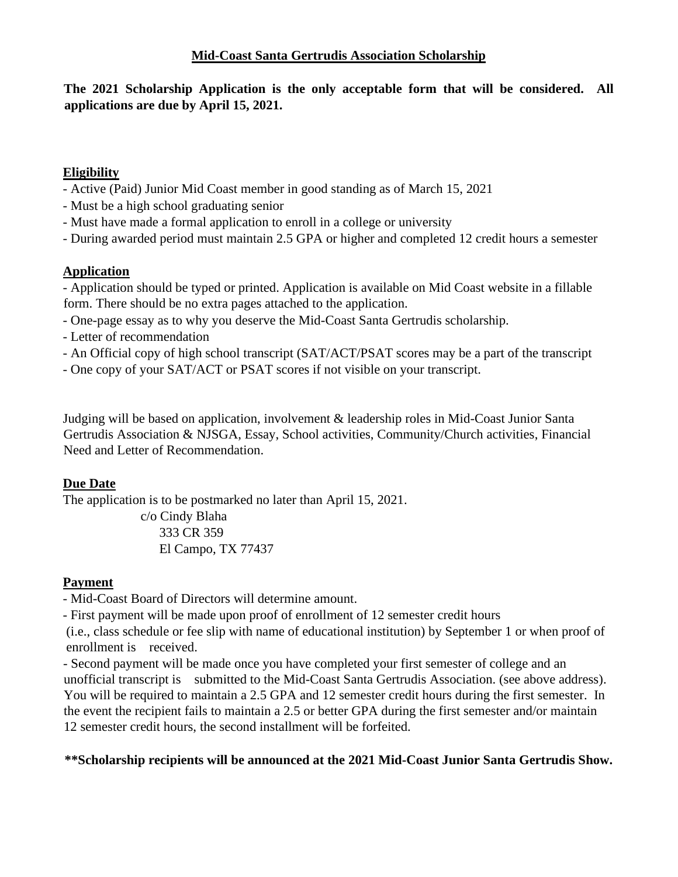**The 2021 Scholarship Application is the only acceptable form that will be considered. All applications are due by April 15, 2021.**

## **Eligibility**

- Active (Paid) Junior Mid Coast member in good standing as of March 15, 2021
- Must be a high school graduating senior
- Must have made a formal application to enroll in a college or university
- During awarded period must maintain 2.5 GPA or higher and completed 12 credit hours a semester

### **Application**

- Application should be typed or printed. Application is available on Mid Coast website in a fillable form. There should be no extra pages attached to the application.

- One-page essay as to why you deserve the Mid-Coast Santa Gertrudis scholarship.
- Letter of recommendation
- An Official copy of high school transcript (SAT/ACT/PSAT scores may be a part of the transcript
- One copy of your SAT/ACT or PSAT scores if not visible on your transcript.

Judging will be based on application, involvement & leadership roles in Mid-Coast Junior Santa Gertrudis Association & NJSGA, Essay, School activities, Community/Church activities, Financial Need and Letter of Recommendation.

#### **Due Date**

The application is to be postmarked no later than April 15, 2021.

 c/o Cindy Blaha 333 CR 359 El Campo, TX 77437

## **Payment**

- Mid-Coast Board of Directors will determine amount.

- First payment will be made upon proof of enrollment of 12 semester credit hours

(i.e., class schedule or fee slip with name of educational institution) by September 1 or when proof of enrollment is received.

- Second payment will be made once you have completed your first semester of college and an unofficial transcript is submitted to the Mid-Coast Santa Gertrudis Association. (see above address). You will be required to maintain a 2.5 GPA and 12 semester credit hours during the first semester. In the event the recipient fails to maintain a 2.5 or better GPA during the first semester and/or maintain 12 semester credit hours, the second installment will be forfeited.

## **\*\*Scholarship recipients will be announced at the 2021 Mid-Coast Junior Santa Gertrudis Show.**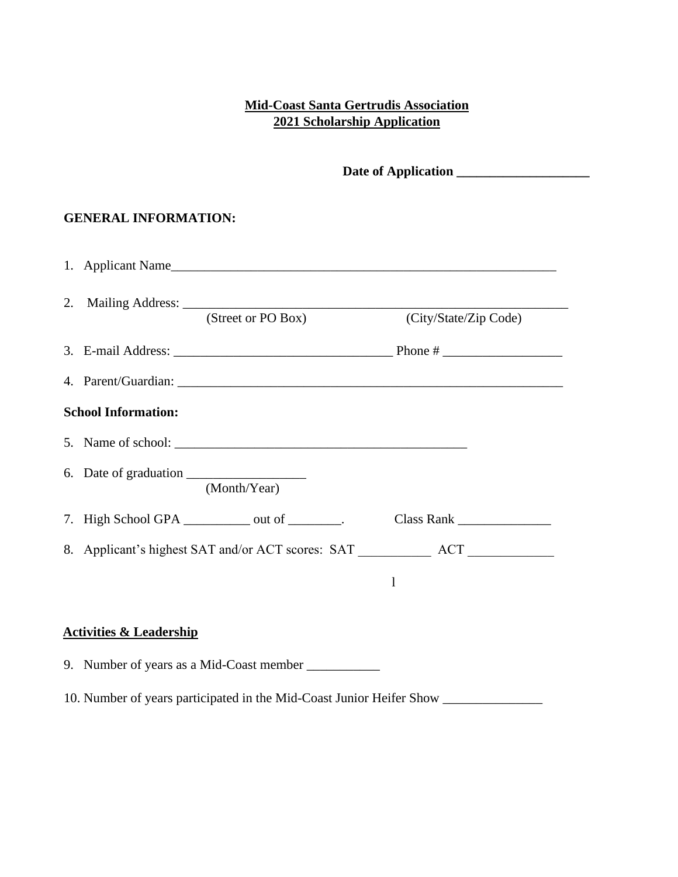# **Mid-Coast Santa Gertrudis Association 2021 Scholarship Application**

**Date of Application \_\_\_\_\_\_\_\_\_\_\_\_\_\_\_\_\_\_\_\_**

#### **GENERAL INFORMATION:**

| 1. Applicant Name                                                                                                                                                                                                                                                                                |                       |  |
|--------------------------------------------------------------------------------------------------------------------------------------------------------------------------------------------------------------------------------------------------------------------------------------------------|-----------------------|--|
| (Street or PO Box)                                                                                                                                                                                                                                                                               | (City/State/Zip Code) |  |
|                                                                                                                                                                                                                                                                                                  |                       |  |
|                                                                                                                                                                                                                                                                                                  |                       |  |
| <b>School Information:</b>                                                                                                                                                                                                                                                                       |                       |  |
|                                                                                                                                                                                                                                                                                                  |                       |  |
| (Month/Year)                                                                                                                                                                                                                                                                                     |                       |  |
| 7. High School GPA ___________ out of _______.                                                                                                                                                                                                                                                   |                       |  |
|                                                                                                                                                                                                                                                                                                  |                       |  |
|                                                                                                                                                                                                                                                                                                  |                       |  |
| $\mathbf{A}$ and $\mathbf{A}$ are $\mathbf{A}$ and $\mathbf{A}$ are $\mathbf{A}$ and $\mathbf{A}$ are $\mathbf{A}$ and $\mathbf{A}$ are $\mathbf{A}$ and $\mathbf{A}$ are $\mathbf{A}$ and $\mathbf{A}$ are $\mathbf{A}$ are $\mathbf{A}$ and $\mathbf{A}$ are $\mathbf{A}$ and $\mathbf{A}$ are |                       |  |

### **Activities & Leadership**

9. Number of years as a Mid-Coast member \_\_\_\_\_\_\_\_\_\_\_

10. Number of years participated in the Mid-Coast Junior Heifer Show \_\_\_\_\_\_\_\_\_\_\_\_\_\_\_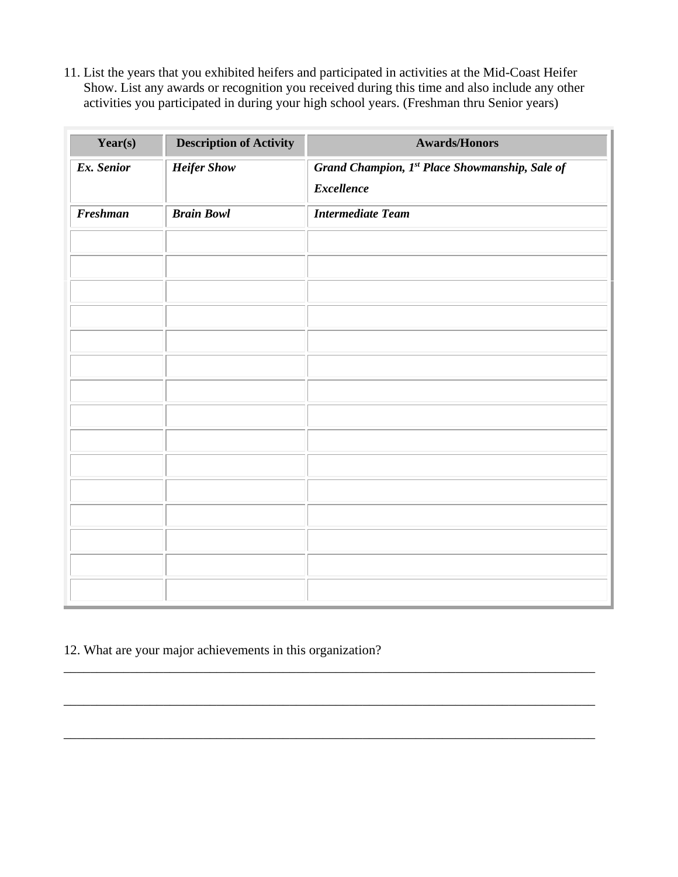11. List the years that you exhibited heifers and participated in activities at the Mid-Coast Heifer Show. List any awards or recognition you received during this time and also include any other activities you participated in during your high school years. (Freshman thru Senior years)

| Year(s)         | <b>Description of Activity</b> | <b>Awards/Honors</b>                           |
|-----------------|--------------------------------|------------------------------------------------|
| Ex. Senior      | <b>Heifer Show</b>             | Grand Champion, 1st Place Showmanship, Sale of |
|                 |                                | <b>Excellence</b>                              |
| <b>Freshman</b> | <b>Brain Bowl</b>              | <b>Intermediate Team</b>                       |
|                 |                                |                                                |
|                 |                                |                                                |
|                 |                                |                                                |
|                 |                                |                                                |
|                 |                                |                                                |
|                 |                                |                                                |
|                 |                                |                                                |
|                 |                                |                                                |
|                 |                                |                                                |
|                 |                                |                                                |
|                 |                                |                                                |
|                 |                                |                                                |
|                 |                                |                                                |
|                 |                                |                                                |
|                 |                                |                                                |

\_\_\_\_\_\_\_\_\_\_\_\_\_\_\_\_\_\_\_\_\_\_\_\_\_\_\_\_\_\_\_\_\_\_\_\_\_\_\_\_\_\_\_\_\_\_\_\_\_\_\_\_\_\_\_\_\_\_\_\_\_\_\_\_\_\_\_\_\_\_\_\_\_\_\_\_\_\_\_\_

\_\_\_\_\_\_\_\_\_\_\_\_\_\_\_\_\_\_\_\_\_\_\_\_\_\_\_\_\_\_\_\_\_\_\_\_\_\_\_\_\_\_\_\_\_\_\_\_\_\_\_\_\_\_\_\_\_\_\_\_\_\_\_\_\_\_\_\_\_\_\_\_\_\_\_\_\_\_\_\_

\_\_\_\_\_\_\_\_\_\_\_\_\_\_\_\_\_\_\_\_\_\_\_\_\_\_\_\_\_\_\_\_\_\_\_\_\_\_\_\_\_\_\_\_\_\_\_\_\_\_\_\_\_\_\_\_\_\_\_\_\_\_\_\_\_\_\_\_\_\_\_\_\_\_\_\_\_\_\_\_

# 12. What are your major achievements in this organization?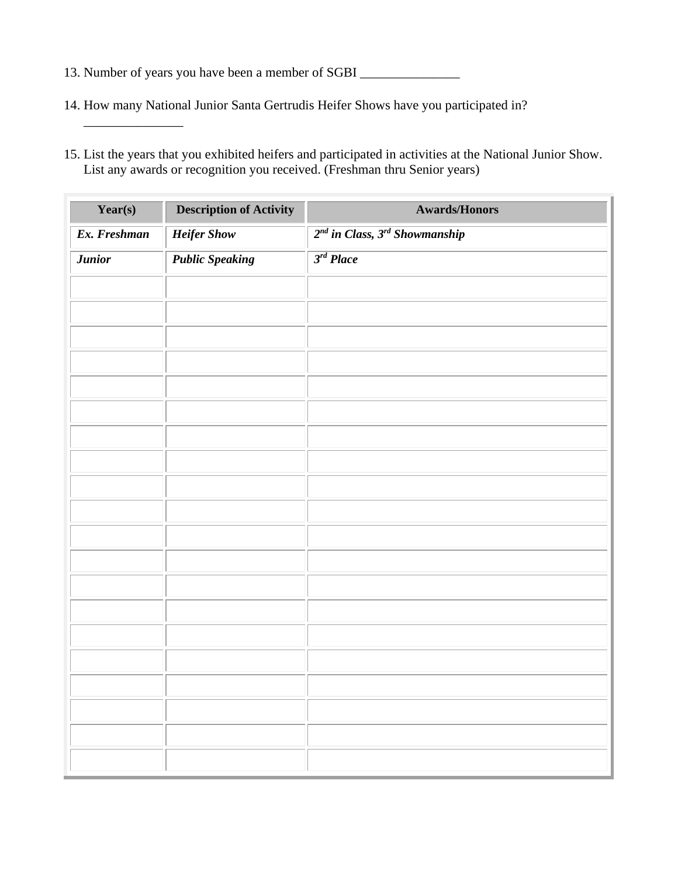13. Number of years you have been a member of SGBI \_\_\_\_\_\_\_\_\_\_\_\_\_\_\_\_\_\_\_\_\_\_\_\_\_\_\_\_\_\_

\_\_\_\_\_\_\_\_\_\_\_\_\_\_\_

- 14. How many National Junior Santa Gertrudis Heifer Shows have you participated in?
- 15. List the years that you exhibited heifers and participated in activities at the National Junior Show. List any awards or recognition you received. (Freshman thru Senior years)

| Year(s)       | <b>Description of Activity</b> | <b>Awards/Honors</b>                    |
|---------------|--------------------------------|-----------------------------------------|
| Ex. Freshman  | <b>Heifer Show</b>             | $2^{nd}$ in Class, $3^{rd}$ Showmanship |
| <b>Junior</b> | <b>Public Speaking</b>         | 3 <sup>rd</sup> Place                   |
|               |                                |                                         |
|               |                                |                                         |
|               |                                |                                         |
|               |                                |                                         |
|               |                                |                                         |
|               |                                |                                         |
|               |                                |                                         |
|               |                                |                                         |
|               |                                |                                         |
|               |                                |                                         |
|               |                                |                                         |
|               |                                |                                         |
|               |                                |                                         |
|               |                                |                                         |
|               |                                |                                         |
|               |                                |                                         |
|               |                                |                                         |
|               |                                |                                         |
|               |                                |                                         |
|               |                                |                                         |
|               |                                |                                         |
|               |                                |                                         |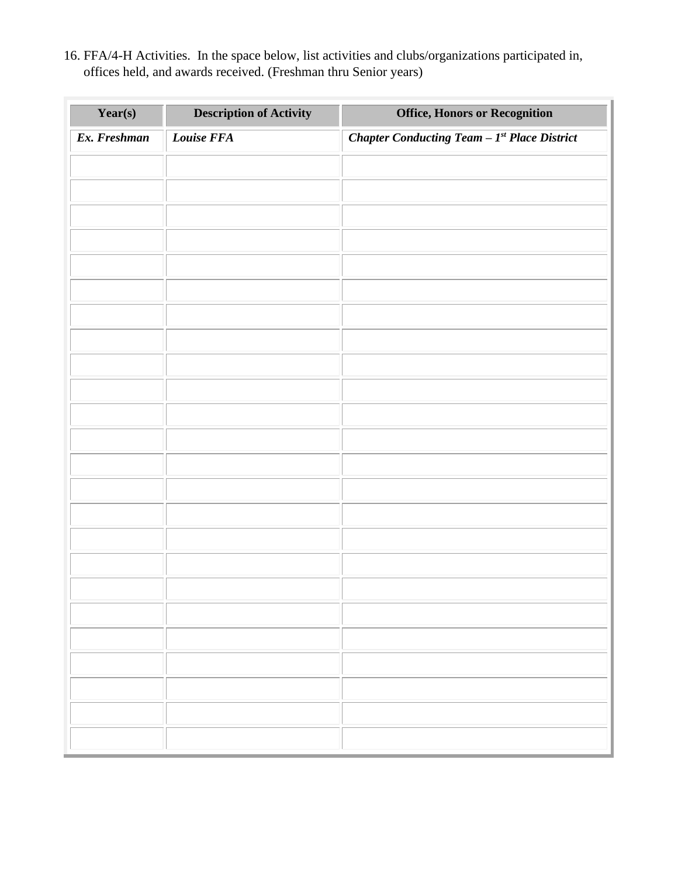16. FFA/4-H Activities. In the space below, list activities and clubs/organizations participated in, offices held, and awards received. (Freshman thru Senior years)

| Year(s)      | <b>Description of Activity</b> | <b>Office, Honors or Recognition</b>          |
|--------------|--------------------------------|-----------------------------------------------|
| Ex. Freshman | Louise FFA                     | Chapter Conducting Team $-Ist$ Place District |
|              |                                |                                               |
|              |                                |                                               |
|              |                                |                                               |
|              |                                |                                               |
|              |                                |                                               |
|              |                                |                                               |
|              |                                |                                               |
|              |                                |                                               |
|              |                                |                                               |
|              |                                |                                               |
|              |                                |                                               |
|              |                                |                                               |
|              |                                |                                               |
|              |                                |                                               |
|              |                                |                                               |
|              |                                |                                               |
|              |                                |                                               |
|              |                                |                                               |
|              |                                |                                               |
|              |                                |                                               |
|              |                                |                                               |
|              |                                |                                               |
|              |                                |                                               |
|              |                                |                                               |
|              |                                |                                               |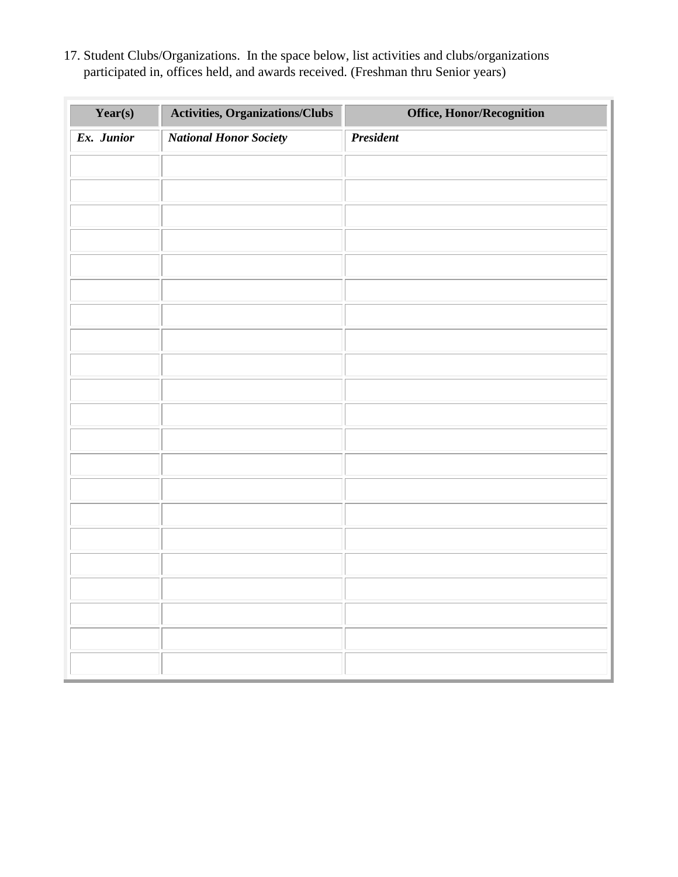17. Student Clubs/Organizations. In the space below, list activities and clubs/organizations participated in, offices held, and awards received. (Freshman thru Senior years)

| Year(s)    | <b>Activities, Organizations/Clubs</b> | Office, Honor/Recognition |
|------------|----------------------------------------|---------------------------|
| Ex. Junior | <b>National Honor Society</b>          | <b>President</b>          |
|            |                                        |                           |
|            |                                        |                           |
|            |                                        |                           |
|            |                                        |                           |
|            |                                        |                           |
|            |                                        |                           |
|            |                                        |                           |
|            |                                        |                           |
|            |                                        |                           |
|            |                                        |                           |
|            |                                        |                           |
|            |                                        |                           |
|            |                                        |                           |
|            |                                        |                           |
|            |                                        |                           |
|            |                                        |                           |
|            |                                        |                           |
|            |                                        |                           |
|            |                                        |                           |
|            |                                        |                           |
|            |                                        |                           |
|            |                                        |                           |
|            |                                        |                           |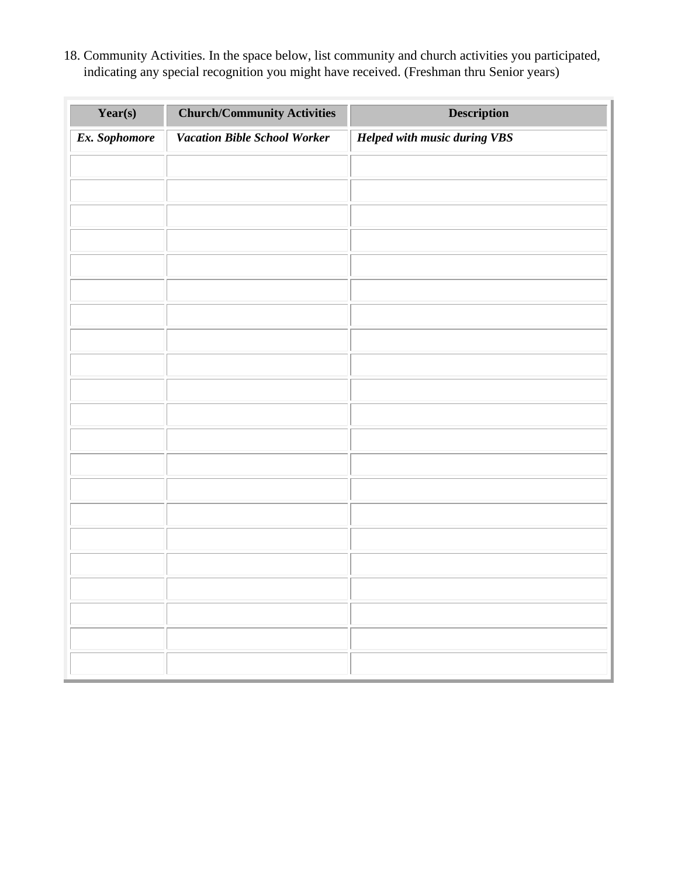18. Community Activities. In the space below, list community and church activities you participated, indicating any special recognition you might have received. (Freshman thru Senior years)

| Year(s)       | <b>Church/Community Activities</b>  | <b>Description</b>                  |
|---------------|-------------------------------------|-------------------------------------|
| Ex. Sophomore | <b>Vacation Bible School Worker</b> | <b>Helped with music during VBS</b> |
|               |                                     |                                     |
|               |                                     |                                     |
|               |                                     |                                     |
|               |                                     |                                     |
|               |                                     |                                     |
|               |                                     |                                     |
|               |                                     |                                     |
|               |                                     |                                     |
|               |                                     |                                     |
|               |                                     |                                     |
|               |                                     |                                     |
|               |                                     |                                     |
|               |                                     |                                     |
|               |                                     |                                     |
|               |                                     |                                     |
|               |                                     |                                     |
|               |                                     |                                     |
|               |                                     |                                     |
|               |                                     |                                     |
|               |                                     |                                     |
|               |                                     |                                     |
|               |                                     |                                     |